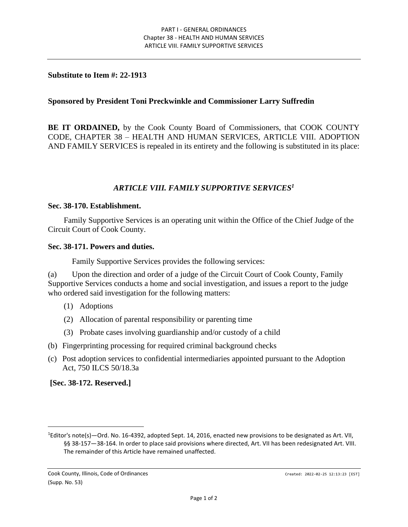### **Substitute to Item #: 22-1913**

## **Sponsored by President Toni Preckwinkle and Commissioner Larry Suffredin**

**BE IT ORDAINED,** by the Cook County Board of Commissioners, that COOK COUNTY CODE, CHAPTER 38 – HEALTH AND HUMAN SERVICES, ARTICLE VIII. ADOPTION AND FAMILY SERVICES is repealed in its entirety and the following is substituted in its place:

# *ARTICLE VIII. FAMILY SUPPORTIVE SERVICES<sup>1</sup>*

#### **Sec. 38-170. Establishment.**

Family Supportive Services is an operating unit within the Office of the Chief Judge of the Circuit Court of Cook County.

#### **Sec. 38-171. Powers and duties.**

Family Supportive Services provides the following services:

(a) Upon the direction and order of a judge of the Circuit Court of Cook County, Family Supportive Services conducts a home and social investigation, and issues a report to the judge who ordered said investigation for the following matters:

- (1) Adoptions
- (2) Allocation of parental responsibility or parenting time
- (3) Probate cases involving guardianship and/or custody of a child
- (b) Fingerprinting processing for required criminal background checks
- (c) Post adoption services to confidential intermediaries appointed pursuant to the Adoption Act, 750 ILCS 50/18.3a

**[Sec. 38-172. Reserved.]**

<sup>1</sup>Editor's note(s)—Ord. No. 16-4392, adopted Sept. 14, 2016, enacted new provisions to be designated as Art. VII, §§ 38-157-38-164. In order to place said provisions where directed, Art. VII has been redesignated Art. VIII. The remainder of this Article have remained unaffected.